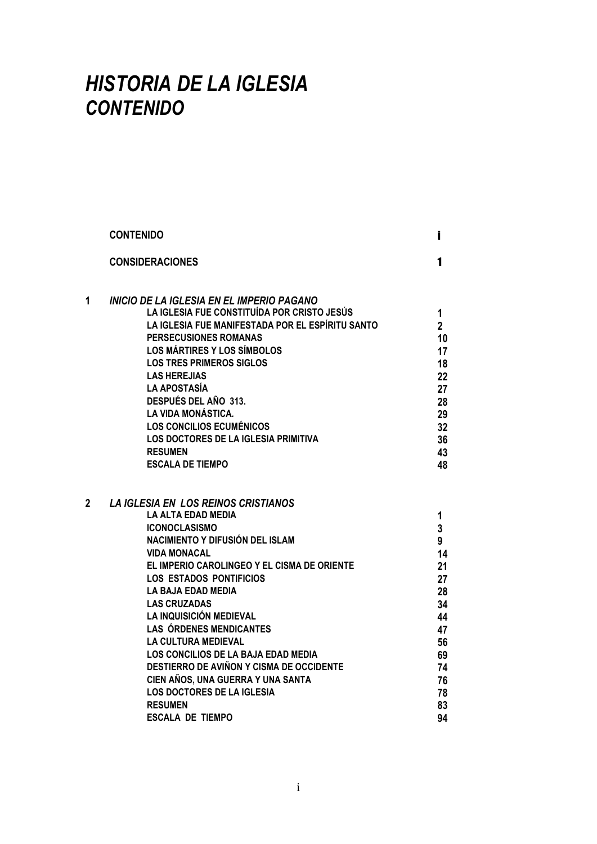## *HISTORIA DE LA IGLESIA CONTENIDO*

|   | <b>CONTENIDO</b>                                            | Ī              |
|---|-------------------------------------------------------------|----------------|
|   | <b>CONSIDERACIONES</b>                                      | 1              |
| 1 | INICIO DE LA IGLESIA EN EL IMPERIO PAGANO                   |                |
|   | LA IGLESIA FUE CONSTITUÍDA POR CRISTO JESÚS                 | 1              |
|   | LA IGLESIA FUE MANIFESTADA POR EL ESPÍRITU SANTO            | $\overline{2}$ |
|   | PERSECUSIONES ROMANAS                                       | 10             |
|   | <b>LOS MÁRTIRES Y LOS SÍMBOLOS</b>                          | 17             |
|   | <b>LOS TRES PRIMEROS SIGLOS</b>                             | 18             |
|   | <b>LAS HEREJIAS</b>                                         | 22             |
|   | <b>LA APOSTASÍA</b>                                         | 27             |
|   | DESPUÉS DEL AÑO 313.                                        | 28             |
|   | <b>LA VIDA MONÁSTICA.</b>                                   | 29             |
|   | <b>LOS CONCILIOS ECUMÉNICOS</b>                             | 32             |
|   | <b>LOS DOCTORES DE LA IGLESIA PRIMITIVA</b>                 | 36             |
|   | <b>RESUMEN</b>                                              | 43             |
|   | <b>ESCALA DE TIEMPO</b>                                     | 48             |
|   |                                                             |                |
| 2 | <b>LA IGLESIA EN LOS REINOS CRISTIANOS</b>                  |                |
|   | <b>LA ALTA EDAD MEDIA</b>                                   | 1              |
|   | <b>ICONOCLASISMO</b><br>NACIMIENTO Y DIFUSIÓN DEL ISLAM     | 3              |
|   |                                                             | 9              |
|   | <b>VIDA MONACAL</b>                                         | 14             |
|   | EL IMPERIO CAROLINGEO Y EL CISMA DE ORIENTE                 | 21             |
|   | <b>LOS ESTADOS PONTIFICIOS</b><br><b>LA BAJA EDAD MEDIA</b> | 27             |
|   | <b>LAS CRUZADAS</b>                                         | 28             |
|   | LA INQUISICIÓN MEDIEVAL                                     | 34             |
|   | <b>LAS ÓRDENES MENDICANTES</b>                              | 44<br>47       |
|   | <b>LA CULTURA MEDIEVAL</b>                                  | 56             |
|   | LOS CONCILIOS DE LA BAJA EDAD MEDIA                         | 69             |
|   | DESTIERRO DE AVIÑON Y CISMA DE OCCIDENTE                    | 74             |
|   | CIEN AÑOS, UNA GUERRA Y UNA SANTA                           | 76             |
|   | <b>LOS DOCTORES DE LA IGLESIA</b>                           | 78             |
|   | <b>RESUMEN</b>                                              |                |
|   | <b>ESCALA DE TIEMPO</b>                                     | 83<br>94       |
|   |                                                             |                |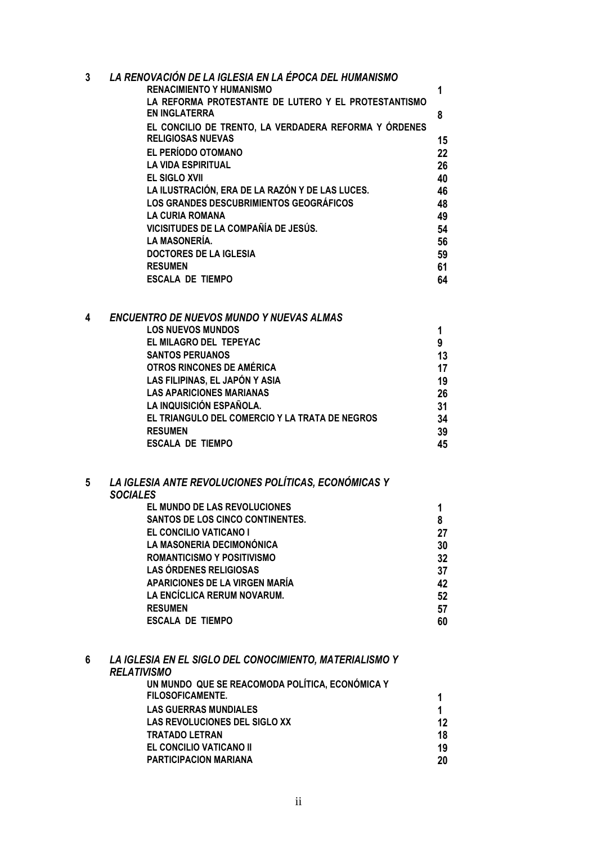| 3 | LA RENOVACIÓN DE LA IGLESIA EN LA ÉPOCA DEL HUMANISMO |    |
|---|-------------------------------------------------------|----|
|   | <b>RENACIMIENTO Y HUMANISMO</b>                       | 1  |
|   | LA REFORMA PROTESTANTE DE LUTERO Y EL PROTESTANTISMO  |    |
|   | <b>EN INGLATERRA</b>                                  | 8  |
|   | EL CONCILIO DE TRENTO, LA VERDADERA REFORMA Y ÓRDENES |    |
|   | <b>RELIGIOSAS NUEVAS</b>                              | 15 |
|   | EL PERÍODO OTOMANO                                    | 22 |
|   | <b>LA VIDA ESPIRITUAL</b>                             | 26 |
|   | <b>EL SIGLO XVII</b>                                  | 40 |
|   | LA ILUSTRACIÓN, ERA DE LA RAZÓN Y DE LAS LUCES.       | 46 |
|   | LOS GRANDES DESCUBRIMIENTOS GEOGRÁFICOS               | 48 |
|   | LA CURIA ROMANA                                       | 49 |
|   | VICISITUDES DE LA COMPAÑÍA DE JESÚS.                  | 54 |
|   | <b>LA MASONERÍA.</b>                                  | 56 |
|   | <b>DOCTORES DE LA IGLESIA</b>                         | 59 |
|   | <b>RESUMEN</b>                                        | 61 |
|   | ESCALA DE TIEMPO                                      | 64 |

| 4 | ENCUENTRO DE NUEVOS MUNDO Y NUEVAS ALMAS       |    |
|---|------------------------------------------------|----|
|   | <b>LOS NUEVOS MUNDOS</b>                       |    |
|   | EL MILAGRO DEL TEPEYAC                         | 9  |
|   | <b>SANTOS PERUANOS</b>                         | 13 |
|   | OTROS RINCONES DE AMÉRICA                      | 17 |
|   | LAS FILIPINAS, EL JAPÓN Y ASIA                 | 19 |
|   | <b>LAS APARICIONES MARIANAS</b>                | 26 |
|   | LA INQUISICIÓN ESPAÑOLA.                       | 31 |
|   | EL TRIANGULO DEL COMERCIO Y LA TRATA DE NEGROS | 34 |
|   | <b>RESUMEN</b>                                 | 39 |
|   | <b>ESCALA DE TIEMPO</b>                        | 45 |
|   |                                                |    |

## **5** *LA IGLESIA ANTE REVOLUCIONES POLÍTICAS, ECONÓMICAS Y SOCIALES* **EL MUNDO DE LAS REVOLUCIONES 1 SANTOS DE LOS CINCO CONTINENTES. 8 EL CONCILIO VATICANO I 27 LA MASONERIA DECIMONÓNICA 30 ROMANTICISMO Y POSITIVISMO 32 LAS ÓRDENES RELIGIOSAS 37 APARICIONES DE LA VIRGEN MARÍA 42 LA ENCÍCLICA RERUM NOVARUM. 52 RESUMEN 57 ESCALA DE TIEMPO 60**

## **6** *LA IGLESIA EN EL SIGLO DEL CONOCIMIENTO, MATERIALISMO Y RELATIVISMO* **UN MUNDO QUE SE REACOMODA POLÍTICA, ECONÓMICA Y FILOSOFICAMENTE. 1 LAS GUERRAS MUNDIALES 1 LAS REVOLUCIONES DEL SIGLO XX 12 TRATADO LETRAN 18 EL CONCILIO VATICANO II 19 PARTICIPACION MARIANA 20**